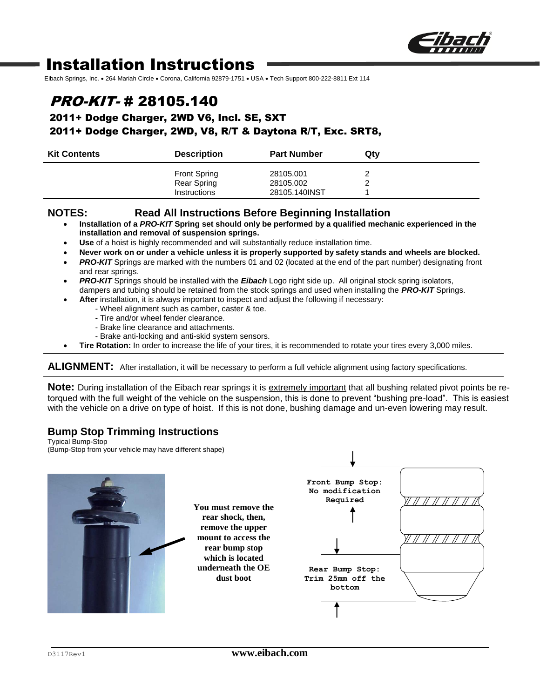

# Installation Instructions

Eibach Springs, Inc. . 264 Mariah Circle . Corona, California 92879-1751 . USA . Tech Support 800-222-8811 Ext 114

## PRO-KIT- # 28105.140

2011+ Dodge Charger, 2WD V6, Incl. SE, SXT

#### 2011+ Dodge Charger, 2WD, V8, R/T & Daytona R/T, Exc. SRT8,

| <b>Kit Contents</b> | <b>Description</b>  | <b>Part Number</b> | Qty |
|---------------------|---------------------|--------------------|-----|
|                     | <b>Front Spring</b> | 28105.001          |     |
|                     | Rear Spring         | 28105.002          |     |
|                     | <b>Instructions</b> | 28105.140INST      |     |

#### **NOTES: Read All Instructions Before Beginning Installation**

- **Installation of a** *PRO-KIT* **Spring set should only be performed by a qualified mechanic experienced in the installation and removal of suspension springs.**
- **Use** of a hoist is highly recommended and will substantially reduce installation time.
- **Never work on or under a vehicle unless it is properly supported by safety stands and wheels are blocked.**
- **PRO-KIT** Springs are marked with the numbers 01 and 02 (located at the end of the part number) designating front and rear springs.
- *PRO-KIT* Springs should be installed with the *Eibach* Logo right side up. All original stock spring isolators, dampers and tubing should be retained from the stock springs and used when installing the *PRO-KIT* Springs.
- **After** installation, it is always important to inspect and adjust the following if necessary:
	- Wheel alignment such as camber, caster & toe.
	- Tire and/or wheel fender clearance.
	- Brake line clearance and attachments.
	- Brake anti-locking and anti-skid system sensors.
- **Tire Rotation:** In order to increase the life of your tires, it is recommended to rotate your tires every 3,000 miles.

**ALIGNMENT:** After installation, it will be necessary to perform a full vehicle alignment using factory specifications.

**Note:** During installation of the Eibach rear springs it is extremely important that all bushing related pivot points be retorqued with the full weight of the vehicle on the suspension, this is done to prevent "bushing pre-load". This is easiest with the vehicle on a drive on type of hoist. If this is not done, bushing damage and un-even lowering may result.

### **Bump Stop Trimming Instructions**

Typical Bump-Stop (Bump-Stop from your vehicle may have different shape)